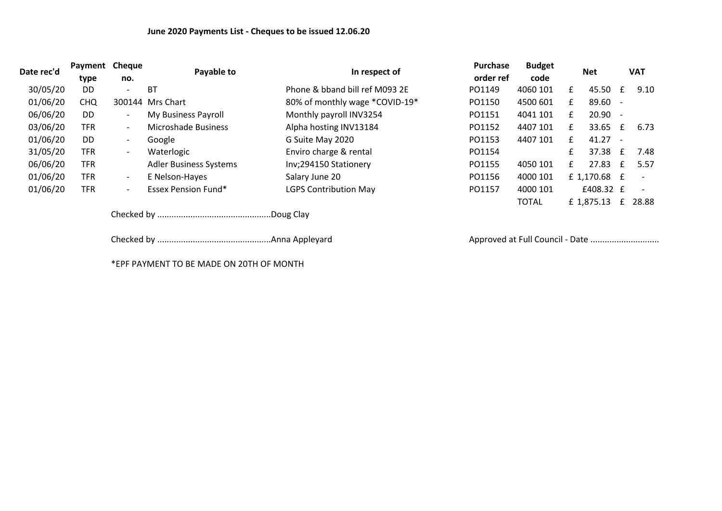| Date rec'd | Payment<br>type | <b>Cheque</b><br>no.     | Payable to                    | In respect of                  | Purchase                        | <b>Budget</b><br>code | <b>Net</b> |              | <b>VAT</b> |                          |
|------------|-----------------|--------------------------|-------------------------------|--------------------------------|---------------------------------|-----------------------|------------|--------------|------------|--------------------------|
|            |                 |                          |                               |                                | order ref                       |                       |            |              |            |                          |
| 30/05/20   | <b>DD</b>       | $\overline{\phantom{a}}$ | <b>BT</b>                     | Phone & bband bill ref M093 2E | PO1149                          | 4060 101              | £          | 45.50        | £          | 9.10                     |
| 01/06/20   | <b>CHQ</b>      |                          | 300144 Mrs Chart              | 80% of monthly wage *COVID-19* | PO1150                          | 4500 601              | £          | 89.60 -      |            |                          |
| 06/06/20   | <b>DD</b>       | $\overline{\phantom{a}}$ | My Business Payroll           | Monthly payroll INV3254        | PO1151                          | 4041 101              | £          | $20.90 -$    |            |                          |
| 03/06/20   | <b>TFR</b>      | $\overline{\phantom{a}}$ | Microshade Business           | Alpha hosting INV13184         | PO1152                          | 4407 101              | £          | 33.65        | £          | 6.73                     |
| 01/06/20   | DD.             | $-$                      | Google                        | G Suite May 2020               | PO1153                          | 4407 101              | £          | $41.27 -$    |            |                          |
| 31/05/20   | <b>TFR</b>      | $\overline{\phantom{a}}$ | Waterlogic                    | Enviro charge & rental         | PO1154                          |                       | £          | 37.38        | £          | 7.48                     |
| 06/06/20   | <b>TFR</b>      |                          | <b>Adler Business Systems</b> | Inv;294150 Stationery          | PO1155                          | 4050 101              | £          | 27.83        | £          | 5.57                     |
| 01/06/20   | <b>TFR</b>      | $-$                      | E Nelson-Hayes                | Salary June 20                 | PO1156                          | 4000 101              |            | £ 1,170.68 £ |            | $\overline{\phantom{a}}$ |
| 01/06/20   | <b>TFR</b>      | $\overline{\phantom{a}}$ | <b>Essex Pension Fund*</b>    | <b>LGPS Contribution May</b>   | PO1157                          | 4000 101              |            | £408.32 £    |            | $\overline{\phantom{a}}$ |
|            |                 |                          |                               |                                |                                 | <b>TOTAL</b>          |            | £1,875.13    | £          | 28.88                    |
|            |                 |                          |                               |                                |                                 |                       |            |              |            |                          |
|            |                 |                          |                               |                                | Approved at Full Council - Date |                       |            |              |            |                          |

\*EPF PAYMENT TO BE MADE ON 20TH OF MONTH